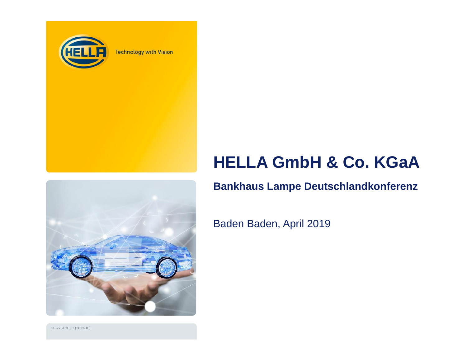

**Technology with Vision** 

# **HELLA GmbH & Co. KGaA**

### **Bankhaus Lampe Deutschlandkonferenz**



Baden Baden, April 2019

HF-7761DE\_ C (2013-10)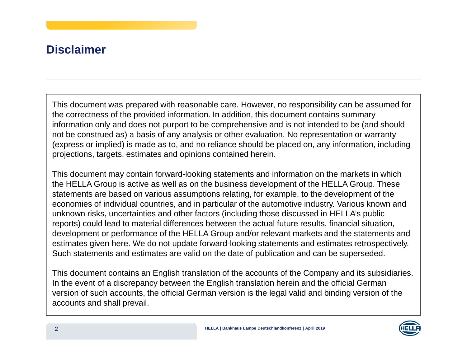## **Disclaimer**

This document was prepared with reasonable care. However, no responsibility can be assumed for the correctness of the provided information. In addition, this document contains summary information only and does not purport to be comprehensive and is not intended to be (and should not be construed as) <sup>a</sup> basis of any analysis or other evaluation. No representation or warranty (express or implied) is made as to, and no reliance should be placed on, any information, including projections, targets, estimates and opinions contained herein.

This document may contain forward-looking statements and information on the markets in which the HELLA Group is active as well as on the business development of the HELLA Group. These statements are based on various assumptions relating, for example, to the development of the economies of individual countries, and in particular of the automotive industry. Various known and unknown risks, uncertainties and other factors (including those discussed in HELLA's public reports) could lead to material differences between the actual future results, financial situation, development or performance of the HELLA Group and/or relevant markets and the statements and estimates given here. We do not update forward-looking statements and estimates retrospectively. Such statements and estimates are valid on the date of publication and can be superseded.

This document contains an English translation of the accounts of the Company and its subsidiaries. In the event of <sup>a</sup> discrepancy between the English translation herein and the official German version of such accounts, the official German version is the legal valid and binding version of the accounts and shall prevail.

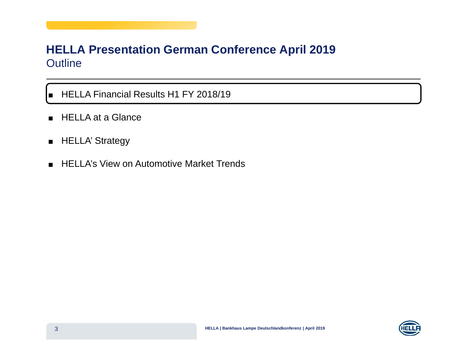### **HELLA Presentation German Conference April 2019** Outline

■ HELLA Financial Results H1 FY 2018/19

- HELLA at a Glance
- HELLA' Strategy

 $\blacksquare$ 

■ HELLA's View on Automotive Market Trends

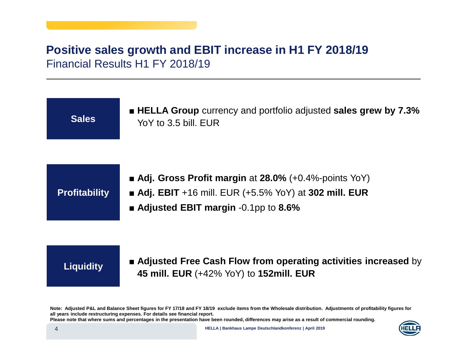### **Positive sales growth and EBIT increase in H1 FY 2018/19** Financial Results H1 FY 2018/19

 **HELLA Group** currency and portfolio adjusted **sales grew by 7.3%** YoY to 3.5 bill. EUR

**Profitability**

**Sales**

- **Adj. Gross Profit margin** at **28.0%** (+0.4%-points YoY) **Adj. EBIT** +16 mill. EUR (+5.5% YoY) at **302 mill. EUR**
- **Adjusted EBIT margin** -0.1pp to **8.6%**

**Liquidity Adjusted Free Cash Flow from operating activities increased** by **45mill. EUR** (+42% YoY) to **152mill. EUR**

Note: Adjusted P&L and Balance Sheet figures for FY 17/18 and FY 18/19 exclude items from the Wholesale distribution. Adjustments of profitability figures for **all years include restructuring expenses. For details see financial report.** Please note that where sums and percentages in the presentation have been rounded, differences may arise as a result of commercial rounding.

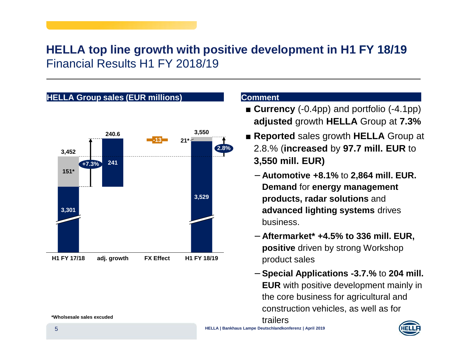## **HELLA top line growth with positive development in H1 FY 18/19** Financial Results H1 FY 2018/19



- **Currency** (-0.4pp) and portfolio (-4.1pp) **adjusted** growth **HELLA** Group at **7.3%**
- **Reported** sales growth **HELLA** Group at 2.8.% (**increased** by **97.7 mill. EUR** to **3,550 mill. EUR)**
	- − **Automotive +8.1%** to **2,864 mill. EUR. Demand** for **energy management products, radar solutions** and **advanced lighting systems** drives business.
	- − **Aftermarket\* +4.5% to 336 mill. EUR, positive** driven by strong Workshop product sales
	- − **Special Applications -3.7.%** to **204 mill. EUR** with positive development mainly in the core business for agricultural and construction vehicles, as well as for trailers

**HELLA | Bankhaus Lampe Deutschlandkonferenz | April 2019**

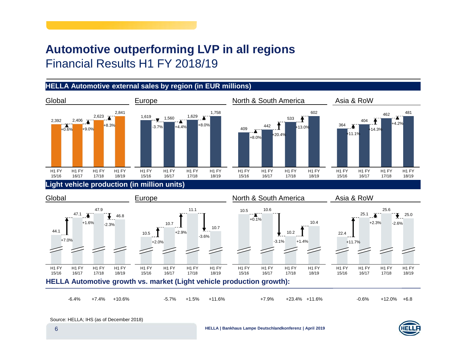## **Automotive outperforming LVP in all regions** Financial Results H1 FY 2018/19

### **HELLA Automotive external sales by region (in EUR millions)**







**HELLA | Bankhaus Lampe Deutschlandkonferenz | April <sup>2019</sup>**

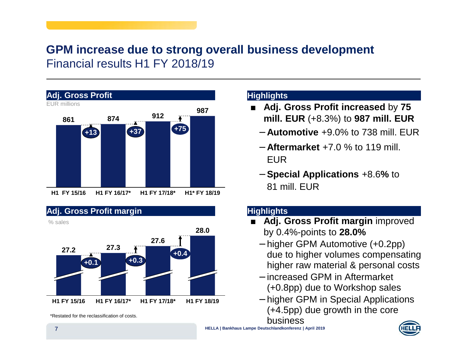### **GPM increase due to strong overall business development** Financial results H1 FY 2018/19





### **Highlights**

- **Adj. Gross Profit increased** by **75 mill. EUR** (+8.3%) to **987 mill. EUR**
	- − **Automotive** +9.0% to 738 mill. EUR
	- − **Aftermarket** +7.0 % to 119 mill. EUR
	- − **Special Applications** +8.6**%** to 81 mill. EUR

### **Highlights**

- **Adj. Gross Profit margin** improved by 0.4%-points to **28.0%**
	- − higher GPM Automotive (+0.2pp) due to higher volumes compensating higher raw material & personal costs
	- − increased GPM in Aftermarket (+0.8pp) due to Workshop sales
	- − higher GPM in Special Applications (+4.5pp) due growth in the core business



**HELLA | Bankhaus Lampe Deutschlandkonferenz | April 2019**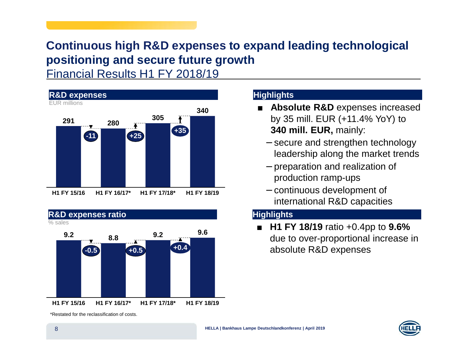# **Continuous high R&D expenses to expand leading technological positioning and secure future growth**

Financial Results H1 FY 2018/19





#### \*Restated for the reclassification of costs.

### **Highlights**

- **Absolute R&D** expenses increased by 35 mill. EUR (+11.4% YoY) to **340 mill. EUR,** mainly:
	- − secure and strengthen technology leadership along the market trends
	- − preparation and realization of production ramp-ups
	- − continuous development of international R&D capacities

### **Highlights**

■ **H1 FY 18/19** ratio +0.4pp to **9.6%** due to over-proportional increase in absolute R&D expenses

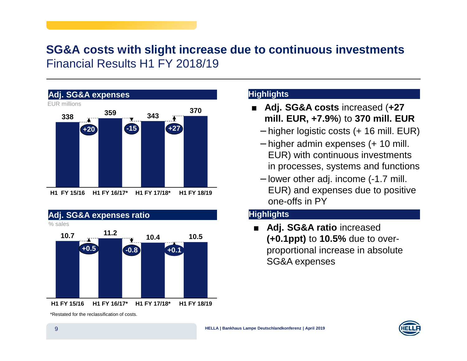### **SG&A costs with slight increase due to continuous investments** Financial Results H1 FY 2018/19





#### \*Restated for the reclassification of costs.

### **Highlights**

- $\blacksquare$  **Adj. SG&A costs** increased (**+27 mill. EUR, +7.9%**) to **370 mill. EUR**
	- − higher logistic costs (+ 16 mill. EUR)
	- − higher admin expenses (+ 10 mill. EUR) with continuous investments in processes, systems and functions
	- − lower other adj. income (-1.7 mill. EUR) and expenses due to positive one-offs in PY

### **Highlights**

 $\blacksquare$  **Adj. SG&A ratio** increased **(+0.1ppt)** to **10.5%** due to overproportional increase in absolute SG&A expenses

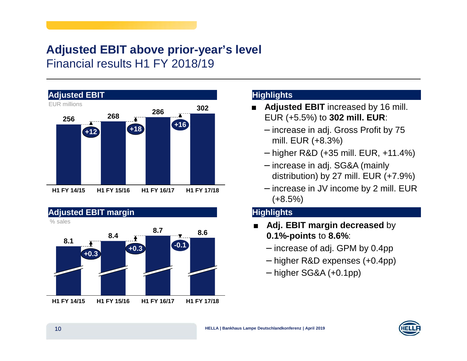### **Adjusted EBIT above prior-year's level** Financial results H1 FY 2018/19





### **Highlights**

- $\blacksquare$  **Adjusted EBIT** increased by 16 mill. EUR (+5.5%) to **302 mill. EUR**:
	- − increase in adj. Gross Profit by 75 mill. EUR (+8.3%)
	- − higher R&D (+35 mill. EUR, +11.4%)
	- − increase in adj. SG&A (mainly distribution) by 27 mill. EUR (+7.9%)
	- − increase in JV income by 2 mill. EUR  $(+8.5%)$

### **Highlights**

- $\mathbf{r}$  **Adj. EBIT margin decreased** by **0.1%-points** to **8.6%**:
	- − increase of adj. GPM by 0.4pp
	- − higher R&D expenses (+0.4pp)
	- − higher SG&A (+0.1pp)

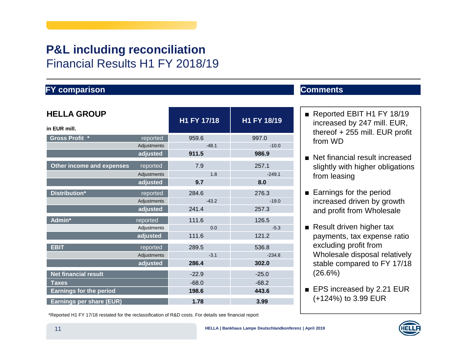# **P&L including reconciliation** Financial Results H1 FY 2018/19

### **FY comparison Comments**

| <b>HELLA GROUP</b>              |             | H1 FY 17/18 | H1 FY 18/19 |
|---------------------------------|-------------|-------------|-------------|
| in EUR mill.                    |             |             |             |
| Gross Profit *                  | reported    | 959.6       | 997.0       |
|                                 | Adjustments | $-48.1$     | $-10.0$     |
|                                 | adjusted    | 911.5       | 986.9       |
| Other income and expenses       | reported    | 7.9         | 257.1       |
|                                 | Adjustments | 1.8         | $-249.1$    |
|                                 | adjusted    | 9.7         | 8.0         |
| Distribution*                   | reported    | 284.6       | 276.3       |
|                                 | Adjustments | $-43.2$     | $-19.0$     |
|                                 | adjusted    | 241.4       | 257.3       |
| Admin*                          | reported    | 111.6       | 126.5       |
|                                 | Adjustments | 0.0         | $-5.3$      |
|                                 | adjusted    | 111.6       | 121.2       |
| <b>EBIT</b>                     | reported    | 289.5       | 536.8       |
|                                 | Adjustments | $-3.1$      | $-234.8$    |
|                                 | adjusted    | 286.4       | 302.0       |
| <b>Net financial result</b>     |             | $-22.9$     | $-25.0$     |
| <b>Taxes</b>                    |             | $-68.0$     | $-68.2$     |
| <b>Earnings for the period</b>  |             | 198.6       | 443.6       |
| <b>Earnings per share (EUR)</b> |             | 1.78        | 3.99        |

- Reported EBIT H1 FY 18/19 increased by 247 mill. EUR, thereof + 255 mill. EUR profit from WD
- Net financial result increased slightly with higher obligations from leasing
- Earnings for the period increased driven by growth and profit from Wholesale
- Result driven higher tax payments, tax expense ratio excluding profit from Wholesale disposal relatively stable compared to FY 17/18 (26.6%)
- EPS increased by 2.21 EUR (+124%) to 3.99 EUR

\*Reported H1 FY 17/18 restated for the reclassification of R&D costs. For details see financial report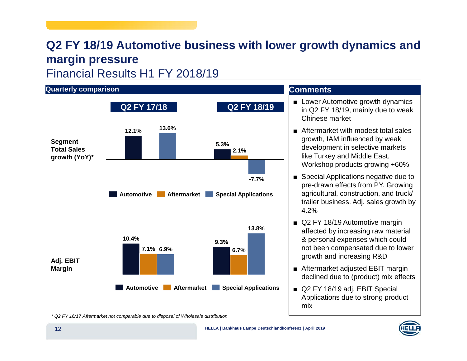# **Q2 FY 18/19 Automotive business with lower growth dynamics and margin pressure**

Financial Results H1 FY 2018/19



\* Q2 FY 16/17 Aftermarket not comparable due to disposal of Wholesale distribution

mix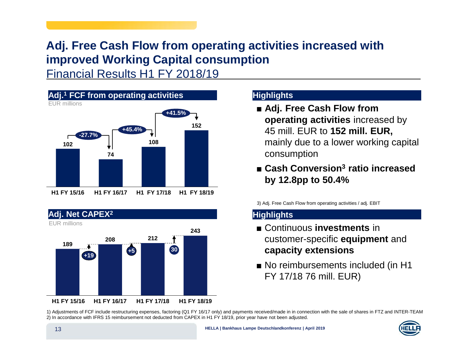# **Adj. Free Cash Flow from operating activities increased with improved Working Capital consumption**

Financial Results H1 FY 2018/19





### **Highlights**

- **Adj. Free Cash Flow from operating activities** increased by 45 mill. EUR to **152 mill. EUR,** mainly due to <sup>a</sup> lower working capital consumption
- **Cash Conversion3 ratio increased by 12.8pp to 50.4%**

3) Adj. Free Cash Flow from operating activities / adj. EBIT

### **Highlights**

- Continuous **investments** in customer-specific **equipment** and **capacity extensions**
- No reimbursements included (in H1 FY 17/18 76 mill. EUR)

1) Adjustments of FCF include restructuring expenses, factoring (Q1 FY 16/17 only) and payments received/made in in connection with the sale of shares in FTZ and INTER-TEAM 2) In accordance with IFRS 15 reimbursement not deducted from CAPEX in H1 FY 18/19, prior year have not been adjusted.

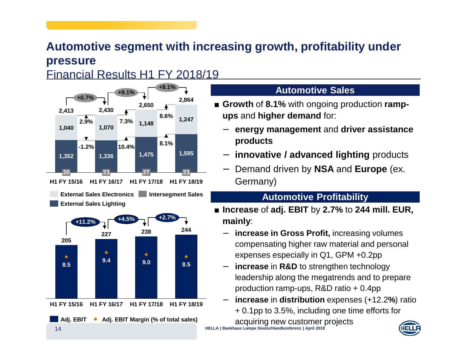# Automotive segment with increasing growth, profitability under **p r e s s u r e**

Financial Results H1 FY 2018/19



### **AutomotiveSales**

- Growth of 8.1% with ongoing production **rampups** and **higher demand** for:
	- −energy management and driver assistance **p r o d u cts**
	- −**- innovative / advanced lighting** products
	- Demand driven by NSA and Europe (ex.

G erm a n y)

### **Aut omotivePr ofit abilit y**

- **Inc r e a s e** of **a dj. E BIT**b y **2.7 %** to **2 4 4 mill. EUR, m ainly**:
	- i**ncrease in Gross Profit,** increasing volumes compensating higher raw material and personal expenses especially in Q1, GPM +0.2pp
	- −–  $\;$  **increase** in R&D to strengthen technology leadership along the megatrends and to prepare production ramp-ups, R&D ratio + 0.4pp
	- **increase** in **distribution**exp enses (+12.2 **%**) ratio +0.1p p to 3.5 %, in clu din g o n e time efforts for

a c q uirin g n e w c u sto m er proje cts **HELLA | Bankhaus Lampe Deutschlandkonferenz | April 2019**

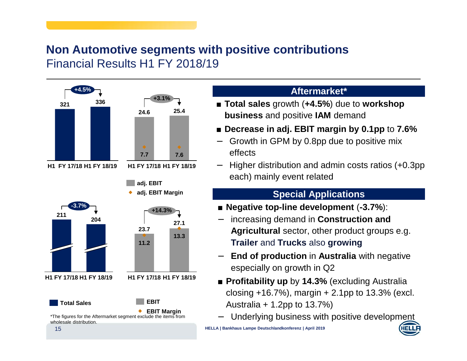### **Non Automotive segments with positive contributions** Financial Results H1 FY 2018/19



### **Aftermarket\***

 **Total sales** growth (**+4.5%**) due to **workshop business** and positive **IAM** demand

### **Decrease in adj. EBIT margin by 0.1pp** to **7.6%**

- Growth in GPM by 0.8pp due to positive mix effects
- Higher distribution and admin costs ratios (+0.3pp each) mainly event related

### **Special Applications**

- **Negative top-line development** (**-3.7%**):
- − increasing demand in **Construction and Agricultural** sector, other product groups e.g. **Trailer** and **Trucks** also **growing**
- **End of production** in **Australia** with negative especially on growth in Q2
- **Profitability up** by **14.3%** (excluding Australia closing  $+16.7\%$ ), margin  $+2.1$ pp to 13.3% (excl. Australia + 1.2pp to 13.7%)
- Underlying business with positive development

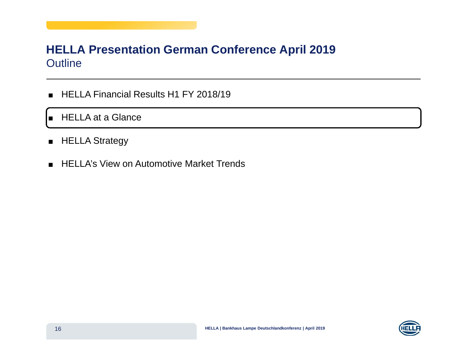### **HELLA Presentation German Conference April 2019** Outline

- HELLA Financial Results H1 FY 2018/19
- HELLA at a Glance
- HELLA Strategy
- HELLA's View on Automotive Market Trends

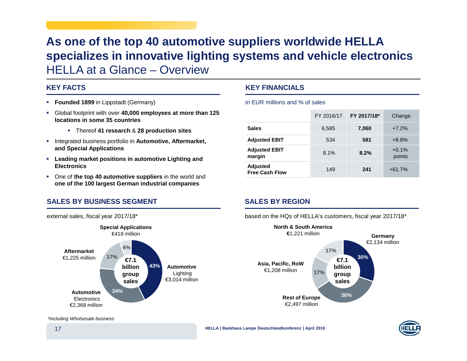# **As one of the top 40 automotive suppliers worldwide HELLA specializes in innovative lighting systems and vehicle electronics** HELLA at a Glance – Overview

#### **KEY FACTS**

- **Founded 1899** in Lippstadt (Germany)
- Global footprint with over **40,000 employees at more than 125 locations in some 35 countries**
	- Thereof **41 research** & **28 production sites**
- **Integrated business portfolio in Automotive, Aftermarket, and Special Applications**
- **Leading market positions in automotive Lighting and Electronics**
- One of **the top 40 automotive suppliers** in the world and **one of the 100 largest German industrial companies**

#### **SALES BY BUSINESS SEGMENT**

external sales, fiscal year 2017/18\*



#### **KEY FINANCIALS**

in EUR millions and % of sales

|                                   | FY 2016/17 | FY 2017/18* | Change            |
|-----------------------------------|------------|-------------|-------------------|
| <b>Sales</b>                      | 6,585      | 7,060       | $+7.2%$           |
| <b>Adjusted EBIT</b>              | 534        | 581         | $+8.8%$           |
| <b>Adjusted EBIT</b><br>margin    | 8.1%       | 8.2%        | $+0.1%$<br>points |
| Adjusted<br><b>Free Cash Flow</b> | 149        | 241         | $+61.7%$          |

### **SALES BY REGION**

based on the HQs of HELLA's customers, fiscal year 2017/18\*



**HELLA | Bankhaus Lampe Deutschlandkonferenz | April 2019**

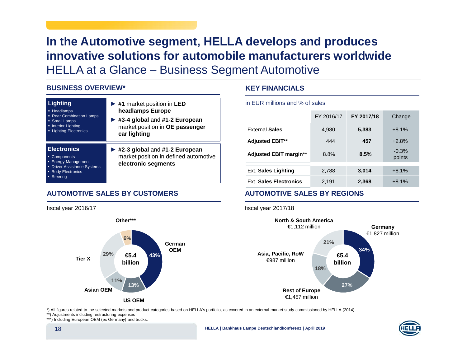# **In the Automotive segment, HELLA develops and produces innovative solutions for automobile manufacturers worldwide** HELLA at <sup>a</sup> Glance – Business Segment Automotive

#### **BUSINESS OVERVIEW\***

fiscal year 2016/17

**Tier X**

| <b>Lighting</b><br>• Headlamps<br><b>Rear Combination Lamps</b><br>• Small Lamps<br><b>Interior Lighting</b><br><b>Lighting Electronics</b> | $\blacktriangleright$ #1 market position in LED<br>headlamps Europe<br>#3-4 global and #1-2 European<br>market position in OE passenger<br>car lighting |
|---------------------------------------------------------------------------------------------------------------------------------------------|---------------------------------------------------------------------------------------------------------------------------------------------------------|
| <b>Electronics</b><br>• Components<br><b>Energy Management</b><br><b>Driver Assistance Systems</b><br><b>Body Electronics</b><br>Steering   | #2-3 global and #1-2 European<br>market position in defined automotive<br>electronic segments                                                           |

**43%**

**GermanOEM**

**13%**

**US OEM**

**6%**

**Other\*\*\***

**€5.4billion**

**11%**

**29%**

### **AUTOMOTIVE SALES BY CUSTOMERS**

### **KEY FINANCIALS**

in EUR millions and % of sales

|                               | FY 2016/17 | FY 2017/18 | Change            |
|-------------------------------|------------|------------|-------------------|
| <b>External Sales</b>         | 4,980      | 5,383      | $+8.1%$           |
| <b>Adjusted EBIT**</b>        | 444        | 457        | $+2.8%$           |
| <b>Adjusted EBIT margin**</b> | 8.8%       | 8.5%       | $-0.3%$<br>points |
| <b>Ext. Sales Lighting</b>    | 2,788      | 3,014      | $+8.1%$           |
| <b>Ext. Sales Electronics</b> | 2,191      | 2,368      | $+8.1%$           |

### **AUTOMOTIVE SALES BY REGIONS**

fiscal year 2017/18



\*) All figures related to the selected markets and product categories based on HELLA's portfolio, as covered in an external market study commissioned by HELLA (2014)

\*\*) Adjustments including restructuring expenses

**Asian OEM**

\*\*\*) Including European OEM (ex Germany) and trucks.



**HELLA | Bankhaus Lampe Deutschlandkonferenz | April 2019**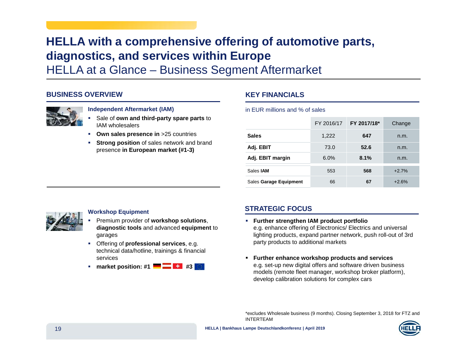# **HELLA with <sup>a</sup> comprehensive offering of automotive parts, diagnostics, and services within Europe**

HELLA at <sup>a</sup> Glance – Business Segment Aftermarket

#### **BUSINESS OVERVIEW**



#### **Independent Aftermarket (IAM)**

- П Sale of **own and third-party spare parts** to IAM wholesalers
- **Own sales presence in** >25 countries
- **Strong position** of sales network and brand presence **in European market (#1-3)**

#### **KEY FINANCIALS**

#### in EUR millions and % of sales

|                        | FY 2016/17 | FY 2017/18* | Change  |
|------------------------|------------|-------------|---------|
| <b>Sales</b>           | 1,222      | 647         | n.m.    |
| Adj. EBIT              | 73.0       | 52.6        | n.m.    |
| Adj. EBIT margin       | 6.0%       | 8.1%        | n.m.    |
| Sales <b>JAM</b>       | 553        | 568         | $+2.7%$ |
| Sales Garage Equipment | 66         | 67          | $+2.6%$ |



#### **Workshop Equipment**

- П Premium provider of **workshop solutions**, **diagnostic tools** and advanced **equipment** to garages
- Offering of **professional services**, e.g. technical data/hotline, trainings & financial services
- **market position: #1 #3**

### **STRATEGIC FOCUS**

- **Further strengthen IAM product portfolio** e.g. enhance offering of Electronics/ Electrics and universal lighting products, expand partner network, push roll-out of 3rd party products to additional markets
- **Further enhance workshop products and services** e.g. set-up new digital offers and software driven business models (remote fleet manager, workshop broker platform), develop calibration solutions for complex cars

\*excludes Wholesale business (9 months). Closing September 3, 2018 for FTZ and INTERTEAM

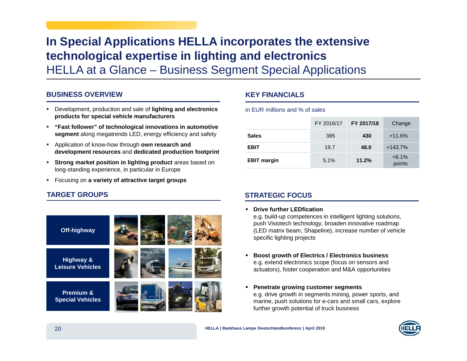# **In Special Applications HELLA incorporates the extensive technological expertise in lighting and electronics**

HELLA at <sup>a</sup> Glance – Business Segment Special Applications

#### **BUSINESS OVERVIEW**

- Development, production and sale of **lighting and electronics products for special vehicle manufacturers**
- **"Fast follower" of technological innovations in automotive segment** along megatrends LED, energy efficiency and safety
- Application of know-how through **own research and development resources** and **dedicated production footprint**
- **Strong market position in lighting product** areas based on long-standing experience, in particular in Europe
- Focusing on **<sup>a</sup> variety of attractive target groups**

### **TARGET GROUPS**



#### **KEY FINANCIALS**

#### in EUR millions and % of sales

|                    | FY 2016/17 | FY 2017/18 | Change            |
|--------------------|------------|------------|-------------------|
| <b>Sales</b>       | 385        | 430        | $+11.6%$          |
| <b>EBIT</b>        | 19.7       | 48.0       | $+143.7%$         |
| <b>EBIT margin</b> | 5.1%       | 11.2%      | $+6.1%$<br>points |

### **STRATEGIC FOCUS**

#### **Drive further LEDfication**

e.g. build-up competences in intelligent lighting solutions, push Visiotech technology, broaden innovative roadmap (LED matrix beam, Shapeline), increase number of vehicle specific lighting projects

- **Boost growth of Electrics / Electronics business** e.g. extend electronics scope (focus on sensors and actuators), foster cooperation and M&A opportunities
- **Penetrate growing customer segments** e.g. drive growth in segments mining, power sports, and marine, push solutions for e-cars and small cars, explore further growth potential of truck business

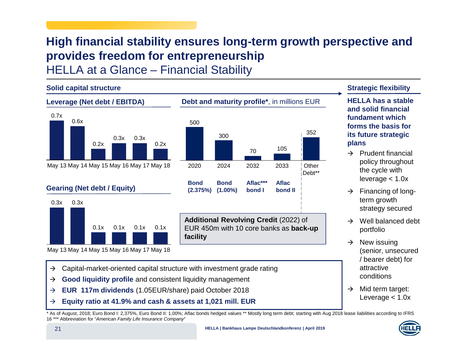# **High financial stability ensures long-term growth perspective and provides freedom for entrepreneurship**

HELLA at <sup>a</sup> Glance – Financial Stability



\* As of August, 2018; Euro Bond I: 2,375%, Euro Bond II: 1,00%; Aflac bonds hedged values \*\* Mostly long term debt; starting with Aug 2018 lease liabilities according to IFRS 16 \*\*\* Abbreviation for "American Family Life Insurance Company"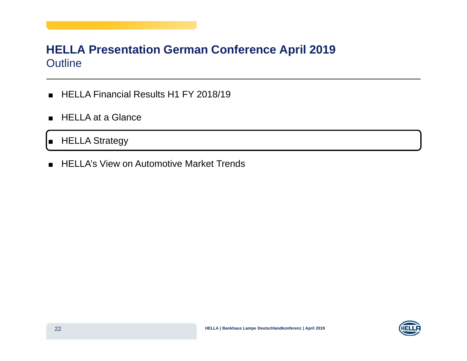### **HELLA Presentation German Conference April 2019** Outline

- HELLA Financial Results H1 FY 2018/19
- HELLA at a Glance

 $\blacksquare$ ■ HELLA Strategy

■ HELLA's View on Automotive Market Trends

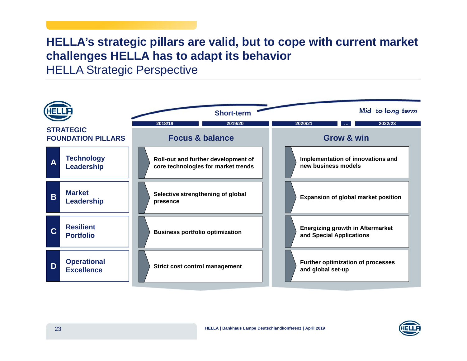# **HELLA's strategic pillars are valid, but to cope with current market challenges HELLA has to adapt its behavior**

HELLA Strategic Perspective

|   |                                               | <b>Short-term</b>                                                          | Mid- to long-term                                                   |
|---|-----------------------------------------------|----------------------------------------------------------------------------|---------------------------------------------------------------------|
|   | <b>STRATEGIC</b><br><b>FOUNDATION PILLARS</b> | 2018/19<br>2019/20<br><b>Focus &amp; balance</b>                           | 2022/23<br>2020/21<br><b>Grow &amp; win</b>                         |
| A | <b>Technology</b><br>Leadership               | Roll-out and further development of<br>core technologies for market trends | Implementation of innovations and<br>new business models            |
| B | <b>Market</b><br>Leadership                   | Selective strengthening of global<br>presence                              | <b>Expansion of global market position</b>                          |
| C | <b>Resilient</b><br><b>Portfolio</b>          | <b>Business portfolio optimization</b>                                     | <b>Energizing growth in Aftermarket</b><br>and Special Applications |
| D | <b>Operational</b><br><b>Excellence</b>       | <b>Strict cost control management</b>                                      | <b>Further optimization of processes</b><br>and global set-up       |

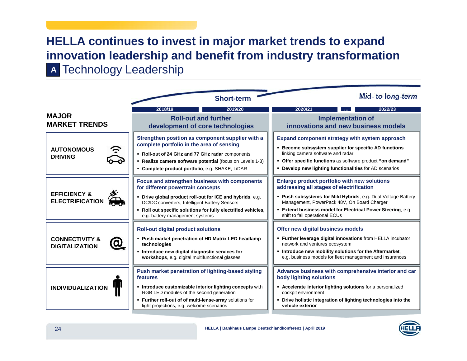# **HELLA continues to invest in major market trends to expand innovation leadership and benefit from industry transformation**

Technology Leadership **A**

|                                                    | <b>Short-term</b>                                                                                                                                                                                                                                                                                    | Mid- to long-term                                                                                                                                                                                                                                                                                       |
|----------------------------------------------------|------------------------------------------------------------------------------------------------------------------------------------------------------------------------------------------------------------------------------------------------------------------------------------------------------|---------------------------------------------------------------------------------------------------------------------------------------------------------------------------------------------------------------------------------------------------------------------------------------------------------|
|                                                    | 2019/20<br>2018/19                                                                                                                                                                                                                                                                                   | 2022/23<br>2020/21                                                                                                                                                                                                                                                                                      |
| <b>MAJOR</b><br><b>MARKET TRENDS</b>               | <b>Roll-out and further</b><br>development of core technologies                                                                                                                                                                                                                                      | <b>Implementation of</b><br>innovations and new business models                                                                                                                                                                                                                                         |
| <b>AUTONOMOUS</b><br><b>DRIVING</b>                | Strengthen position as component supplier with a<br>complete portfolio in the area of sensing<br>" Roll-out of 24 GHz and 77 GHz radar components<br>Realize camera software potential (focus on Levels 1-3)<br>• Complete product portfolio, e.g. SHAKE, LiDAR                                      | Expand component strategy with system approach<br>Become subsystem supplier for specific AD functions<br>linking camera software and radar<br>• Offer specific functions as software product "on demand"<br>• Develop new lighting functionalities for AD scenarios                                     |
| <b>EFFICIENCY &amp;</b><br><b>ELECTRIFICATION</b>  | Focus and strengthen business with components<br>for different powertrain concepts<br>• Drive global product roll-out for ICE and hybrids, e.g.<br>DC/DC converters, Intelligent Battery Sensors<br>. Roll out specific solutions for fully electrified vehicles,<br>e.g. battery management systems | Enlarge product portfolio with new solutions<br>addressing all stages of electrification<br>• Push subsystems for Mild Hybrids, e.g. Dual Voltage Battery<br>Management, PowerPack 48V, On Board Charger<br>Extend business model for Electrical Power Steering, e.g.<br>shift to fail operational ECUs |
| <b>CONNECTIVITY &amp;</b><br><b>DIGITALIZATION</b> | <b>Roll-out digital product solutions</b><br>- Push market penetration of HD Matrix LED headlamp<br>technologies<br>. Introduce new digital diagnostic services for<br>workshops, e.g. digital multifunctional glasses                                                                               | Offer new digital business models<br>. Further leverage digital innovations from HELLA incubator<br>network and ventures ecosystem<br>. Introduce new mobility solutions for the Aftermarket,<br>e.g. business models for fleet management and insurances                                               |
| <b>INDIVIDUALIZATION</b>                           | Push market penetration of lighting-based styling<br>features<br>• Introduce customizable interior lighting concepts with<br>RGB LED modules of the second generation<br>. Further roll-out of of multi-lense-array solutions for<br>light projections, e.g. welcome scenarios                       | Advance business with comprehensive interior and car<br>body lighting solutions<br>• Accelerate interior lighting solutions for a personalized<br>cockpit environment<br>• Drive holistic integration of lighting technologies into the<br>vehicle exterior                                             |

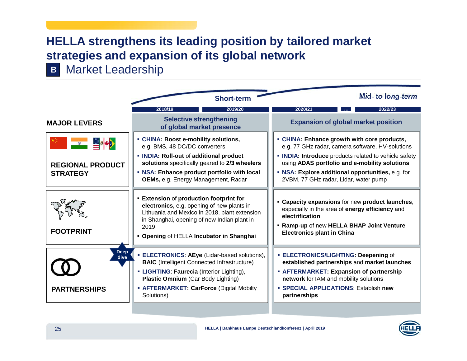# **HELLA strengthens its leading position by tailored market strategies and expansion of its global network**

Market Leadership **B**

|                                            | <b>Short-term</b>                                                                                                                                                                                                                                           | Mid- to long-term                                                                                                                                                                                                                       |
|--------------------------------------------|-------------------------------------------------------------------------------------------------------------------------------------------------------------------------------------------------------------------------------------------------------------|-----------------------------------------------------------------------------------------------------------------------------------------------------------------------------------------------------------------------------------------|
|                                            | 2019/20<br>2018/19                                                                                                                                                                                                                                          | 2022/23<br>2020/21                                                                                                                                                                                                                      |
| <b>MAJOR LEVERS</b>                        | <b>Selective strengthening</b><br>of global market presence                                                                                                                                                                                                 | <b>Expansion of global market position</b>                                                                                                                                                                                              |
| ▓▓▓▓▓▓▓▓ <mark>░▓</mark> ▓ <mark>░</mark>  | • CHINA: Boost e-mobility solutions,<br>e.g. BMS, 48 DC/DC converters                                                                                                                                                                                       | • CHINA: Enhance growth with core products,<br>e.g. 77 GHz radar, camera software, HV-solutions                                                                                                                                         |
| <b>REGIONAL PRODUCT</b>                    | • INDIA: Roll-out of additional product<br>solutions specifically geared to 2/3 wheelers                                                                                                                                                                    | • INDIA: Introduce products related to vehicle safety<br>using ADAS portfolio and e-mobility solutions                                                                                                                                  |
| <b>STRATEGY</b>                            | • NSA: Enhance product portfolio with local<br>OEMs, e.g. Energy Management, Radar                                                                                                                                                                          | • NSA: Explore additional opportunities, e.g. for<br>2VBM, 77 GHz radar, Lidar, water pump                                                                                                                                              |
| <b>FOOTPRINT</b>                           | <b>Extension of production footprint for</b><br>electronics, e.g. opening of new plants in<br>Lithuania and Mexico in 2018, plant extension<br>in Shanghai, opening of new Indian plant in<br>2019<br>• Opening of HELLA Incubator in Shanghai              | <b>Example: Capacity expansions for new product launches,</b><br>especially in the area of energy efficiency and<br>electrification<br>. Ramp-up of new HELLA BHAP Joint Venture<br><b>Electronics plant in China</b>                   |
| <b>Deep</b><br>dive<br><b>PARTNERSHIPS</b> | <b>ELECTRONICS: AEye (Lidar-based solutions),</b><br><b>BAIC</b> (Intelligent Connected Infrastructure)<br>• LIGHTING: Faurecia (Interior Lighting),<br><b>Plastic Omnium (Car Body Lighting)</b><br>• AFTERMARKET: CarForce (Digital Mobilty<br>Solutions) | <b>ELECTRONICS/LIGHTING: Deepening of</b><br>established partnerships and market launches<br>• AFTERMARKET: Expansion of partnership<br>network for IAM and mobility solutions<br>· SPECIAL APPLICATIONS: Establish new<br>partnerships |

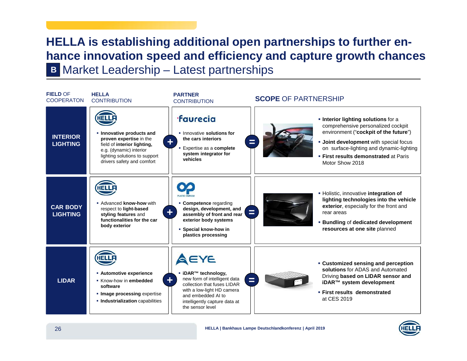# **HELLA is establishing additional open partnerships to further enhance innovation speed and efficiency and capture growth chances B** Market Leadership – Latest partnerships



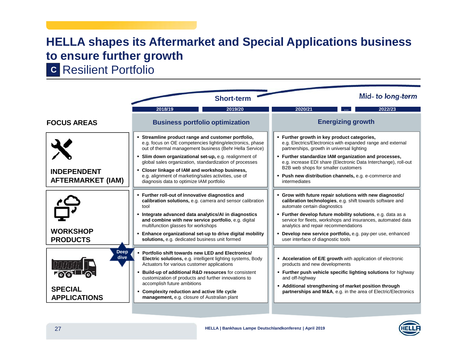# **HELLA shapes its Aftermarket and Special Applications business to ensure further growth**

Resilient Portfolio **C**



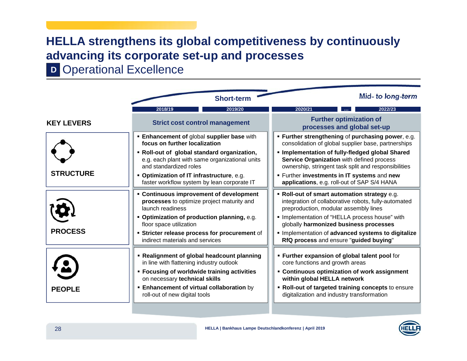# **HELLA strengthens its global competitiveness by continuously advancing its corporate set-up and processes**

**D** Operational Excellence

|                   | <b>Short-term</b>                                                                                                                                                                                                                                                        | Mid- to long-term                                                                                                                                                                                                                                                   |
|-------------------|--------------------------------------------------------------------------------------------------------------------------------------------------------------------------------------------------------------------------------------------------------------------------|---------------------------------------------------------------------------------------------------------------------------------------------------------------------------------------------------------------------------------------------------------------------|
|                   | 2019/20<br>2018/19                                                                                                                                                                                                                                                       | 2022/23<br>2020/21                                                                                                                                                                                                                                                  |
| <b>KEY LEVERS</b> | <b>Strict cost control management</b>                                                                                                                                                                                                                                    | <b>Further optimization of</b><br>processes and global set-up                                                                                                                                                                                                       |
|                   | <b>Enhancement of global supplier base with</b><br>focus on further localization                                                                                                                                                                                         | • Further strengthening of purchasing power, e.g.<br>consolidation of global supplier base, partnerships                                                                                                                                                            |
|                   | . Roll-out of global standard organization,<br>e.g. each plant with same organizational units<br>and standardized roles                                                                                                                                                  | . Implementation of fully-fledged global Shared<br>Service Organization with defined process<br>ownership, stringent task split and responsibilities                                                                                                                |
| <b>STRUCTURE</b>  | • Optimization of IT infrastructure, e.g.<br>faster workflow system by lean corporate IT                                                                                                                                                                                 | <b>Further investments in IT systems and new</b><br>applications, e.g. roll-out of SAP S/4 HANA                                                                                                                                                                     |
|                   | • Continuous improvement of development<br>processes to optimize project maturity and<br>launch readiness                                                                                                                                                                | . Roll-out of smart automation strategy e.g.<br>integration of collaborative robots, fully-automated<br>preproduction, modular assembly lines                                                                                                                       |
|                   | • Optimization of production planning, e.g.<br>floor space utilization                                                                                                                                                                                                   | · Implementation of "HELLA process house" with<br>globally harmonized business processes                                                                                                                                                                            |
| <b>PROCESS</b>    | <b>Stricter release process for procurement of</b><br>indirect materials and services                                                                                                                                                                                    | Implementation of advanced systems to digitalize<br>RfQ process and ensure "guided buying"                                                                                                                                                                          |
| <b>PEOPLE</b>     | • Realignment of global headcount planning<br>in line with flattening industry outlook<br><b>Example 1 Focusing of worldwide training activities</b><br>on necessary technical skills<br><b>Enhancement of virtual collaboration</b> by<br>roll-out of new digital tools | . Further expansion of global talent pool for<br>core functions and growth areas<br>• Continuous optimization of work assignment<br>within global HELLA network<br>. Roll-out of targeted training concepts to ensure<br>digitalization and industry transformation |

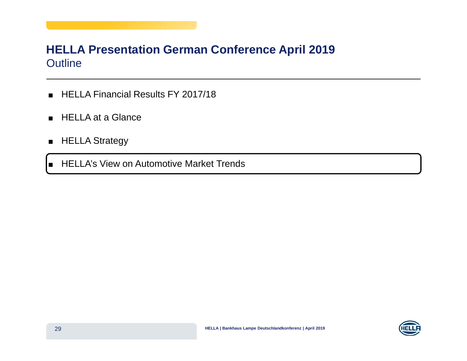### **HELLA Presentation German Conference April 2019** Outline

- HELLA Financial Results FY 2017/18
- HELLA at a Glance
- HELLA Strategy

■ HELLA's View on Automotive Market Trends

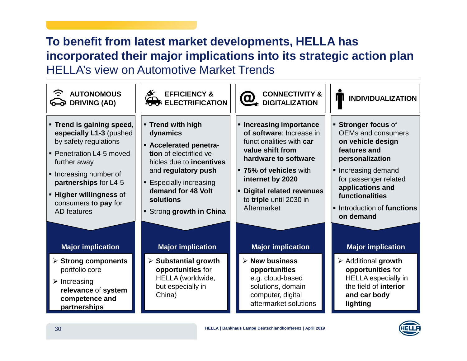# **To benefit from latest market developments, HELLA has incorporated their major implications into its strategic action plan** HELLA's view on Automotive Market Trends

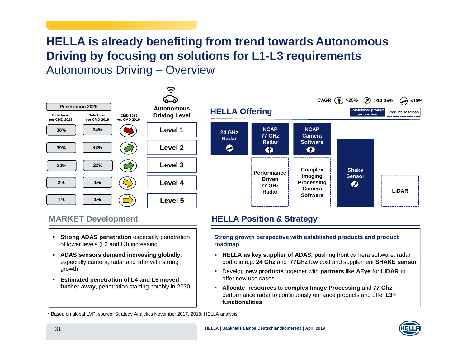# **HELLA is already benefiting from trend towards Autonomous Driving by focusing on solutions for L1-L3 requirements** Autonomous Driving – Overview

<u>ر:</u> **Penetration 2025 AutonomousDriving Level Data base Data base CMD 2018 per CMD 2018 per CMD 2019 vs. CMD 2019 38%34%Level 143%39%Level 220% 22% Level 33%1%Level 41%1%Level 5**



### **MARKET**

- **Strong ADAS penetration** especially penetration of lower levels (L2 and L3) increasing
- **ADAS sensors demand increasing globally,** especially camera, radar and lidar with strong growth
- **Estimated penetration of L4 and L5 moved further away,** penetration starting notably in 2030

### **Development HELLA Position & Strategy**

**Strong growth perspective with established products and product roadmap**

- **HELLA as key supplier of ADAS,** pushing front camera software, radar portfolio e.g. **24 Ghz** and **77Ghz** low cost and supplement **SHAKE sensor**
- Develop **new products** together with **partners** like **AEye** for **LiDAR** to offer new use cases
- $\mathbf{r}$  **Allocate resources** to **complex Image Processing** and **77 Ghz** performance radar to continuously enhance products and offer **L3+ functionalities**

\* Based on global LVP, source: Strategy Analytics November 2017, 2018; HELLA analysis

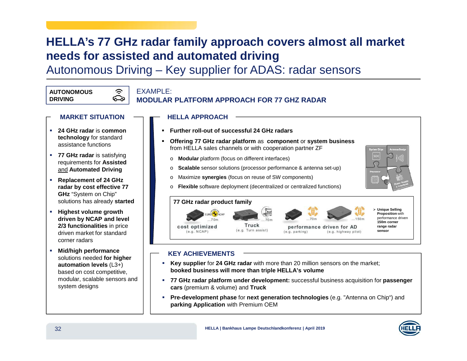# **HELLA's 77 GHz radar family approach covers almost all market needs for assisted and automated driving**

Autonomous Driving – Key supplier for ADAS: radar sensors

#### **AUTONOMOUSDRIVING**

#### う **EXAMPLE:** ౚ

### **MODULAR PLATFORM APPROACH FOR 77 GHZ RADAR**

- **MARKET SITUATION**
- **24 GHz radar** is **commontechnology** for standard assistance functions
- **77 GHz radar** is satisfying requirements for **Assisted** and **Automated Driving**
- **Replacement of 24 GHz radar by cost effective 77 GHz** "System on Chip" solutions has already **started**
- **Highest volume growth driven by NCAP and level 2/3 functionalities** in price driven market for standard corner radars
- П **Mid/high performance** solutions needed **for higher automation levels** (L3+) based on cost competitive, modular, scalable sensors and system designs
- **HELLA APPROACH Further roll-out of successful 24 GHz radars** П **Offering 77 GHz radar platform** as **component** or **system business** П from HELLA sales channels or with cooperation partner ZF **Modular** platform (focus on different interfaces) o **Scalable** sensor solutions (processor performance & antenna set-up) Maximize **synergies** (focus on reuse of SW components) oo **Flexible** software deployment (decentralized or centralized functions) **77 GHz radar product family Unique Selling** ⋗ **Proposition** with performance driven **150m corner** Truck performance driven for AD **range radar** cost optimized (e.g. Turn assist)

### **KEY ACHIEVEMENTS**

 $(e.g. NCAP)$ 

- **Key supplier** for **24 GHz radar** with more than 20 million sensors on the market; **booked business will more than triple HELLA's volume**
- **77 GHz radar platform under development:** successful business acquisition for **passenger cars** (premium & volume) and **Truck**

 $(e.g.$  parking)

 **Pre-development phase** for **next generation technologies** (e.g. "Antenna on Chip") and **parking Application** with Premium OEM



**sensor**

(e.g. highway pilot)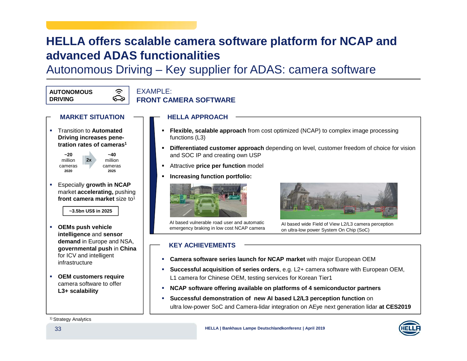## **HELLA offers scalable camera software platform for NCAP and advanced ADAS functionalities**

Autonomous Driving – Key supplier for ADAS: camera software

**AUTONOMOUSDRIVING**

### $FXAMPI F$ **FRONT CAMERA SOFTWARE**

**HELLA APPROACH**

- **MARKET SITUATION**
- Transition to **AutomatedDriving increases penetration rates of cameras<sup>1</sup>**



**~40**millioncameras**2025**

う ౚ

 Especially **growth in NCAP** market **accelerating,** pushing **front camera market** size to<sup>1</sup>

**~3.5bn US\$ in 2025**

- **OEMs push vehicle intelligence** and **sensor demand** in Europe and NSA, **governmental push** in **China** for ICV and intelligent infrastructure
- **OEM customers require** camera software to offer **L3+ scalability**
- **Flexible, scalable approach** from cost optimized (NCAP) to complex image processing functions (L3)
- **Differentiated customer approach** depending on level, customer freedom of choice for vision and SOC IP and creating own USP
- Attractive **price per function** model
- П **Increasing function portfolio:**



AI based vulnerable road user and automatic emergency braking in low cost NCAP camera



AI based wide Field of View L2/L3 camera perception on ultra-low power System On Chip (SoC)

#### **KEY ACHIEVEMENTS**

- **Camera software series launch for NCAP market** with major European OEM
- **Successful acquisition of series orders**, e.g. L2+ camera software with European OEM, L1 camera for Chinese OEM, testing services for Korean Tier1
- **NCAP software offering available on platforms of 4 semiconductor partners**
- ٠ **Successful demonstration of new AI based L2/L3 perception function** on ultra low-power SoC and Camera-lidar integration on AEye next generation lidar **at CES2019**

#### 1) Strategy Analytics

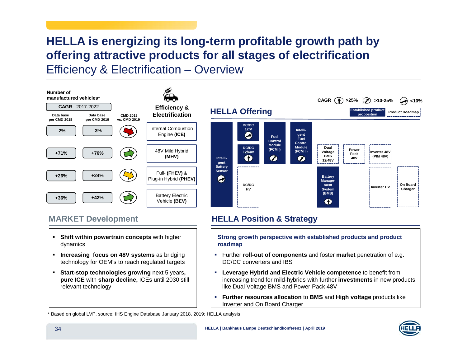# **HELLA is energizing its long-term profitable growth path by offering attractive products for all stages of electrification**

Efficiency & Electrification – Overview

#### **Number of manufactured vehicles\***





### **MARKET**

- **Shift within powertrain concepts** with higher dynamics
- **Increasing focus on 48V systems** as bridging technology for OEM's to reach regulated targets
- **Start-stop technologies growing** next 5 years**, pure ICE** with **sharp decline,** ICEs until 2030 still relevant technology

### **HELLA** Position & Strategy

**Strong growth perspective with established products and product roadmap**

- Further **roll-out of components** and foster **market** penetration of e.g. DC/DC converters and IBS
- **Leverage Hybrid and Electric Vehicle competence** to benefit from increasing trend for mild-hybrids with further **investments** in new products like Dual Voltage BMS and Power Pack 48V
- П **Further resources allocation** to **BMS** and **High voltage** products like Inverter and On Board Charger

\* Based on global LVP, source: IHS Engine Database January 2018, 2019; HELLA analysis

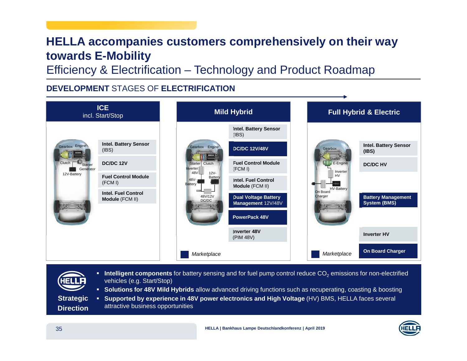# **HELLA accompanies customers comprehensively on their way towards E-Mobility**

Efficiency & Electrification – Technology and Product Roadmap

### **DEVELOPMENT** STAGES OF **ELECTRIFICATION**



**Intelligent components** for battery sensing and for fuel pump control reduce  $CO_2$  emissions for non-electrified vehicles (e.g. Start/Stop)

**Solutions for 48V Mild Hybrids** allow advanced driving functions such as recuperating, coasting & boosting

 **Supported by experience in 48V power electronics and High Voltage** (HV) BMS, HELLA faces several attractive business opportunities **Strategic Direction**

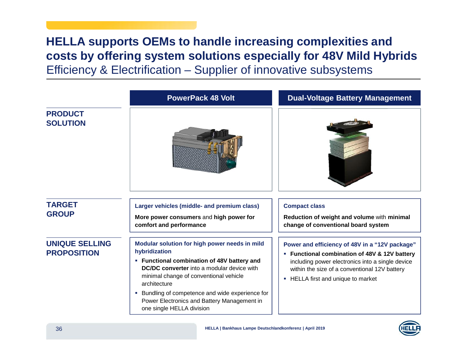# **HELLA supports OEMs to handle increasing complexities and costs by offering system solutions especially for 48V Mild Hybrids**

Efficiency & Electrification – Supplier of innovative subsystems

|                                             | <b>PowerPack 48 Volt</b>                                                                                                                                                                                                                                                                                                                                     | <b>Dual-Voltage Battery Management</b>                                                                                                                                                                                                           |
|---------------------------------------------|--------------------------------------------------------------------------------------------------------------------------------------------------------------------------------------------------------------------------------------------------------------------------------------------------------------------------------------------------------------|--------------------------------------------------------------------------------------------------------------------------------------------------------------------------------------------------------------------------------------------------|
| <b>PRODUCT</b><br><b>SOLUTION</b>           |                                                                                                                                                                                                                                                                                                                                                              |                                                                                                                                                                                                                                                  |
| <b>TARGET</b><br><b>GROUP</b>               | Larger vehicles (middle- and premium class)<br>More power consumers and high power for<br>comfort and performance                                                                                                                                                                                                                                            | <b>Compact class</b><br>Reduction of weight and volume with minimal<br>change of conventional board system                                                                                                                                       |
| <b>UNIQUE SELLING</b><br><b>PROPOSITION</b> | Modular solution for high power needs in mild<br>hybridization<br>• Functional combination of 48V battery and<br><b>DC/DC converter</b> into a modular device with<br>minimal change of conventional vehicle<br>architecture<br>• Bundling of competence and wide experience for<br>Power Electronics and Battery Management in<br>one single HELLA division | Power and efficiency of 48V in a "12V package"<br>Functional combination of 48V & 12V battery<br>ш<br>including power electronics into a single device<br>within the size of a conventional 12V battery<br>HELLA first and unique to market<br>ш |

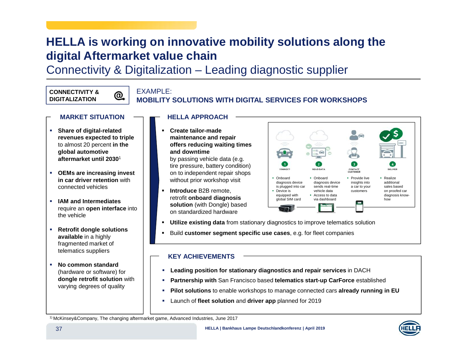# **HELLA is working on innovative mobility solutions along the digital Aftermarket value chain**

Connectivity & Digitalization – Leading diagnostic supplier

#### **CONNECTIVITY &DIGITALIZATION**

### **EXAMPLE:**

 $@{.}$ 

### **MOBILITY SOLUTIONS WITH DIGITAL SERVICES FOR WORKSHOPS**

#### **MARKET SITUATION**

- **Share of digital-related revenues expected to triple** to almost 20 percent **in the global automotive aftermarket until 2030**<sup>1</sup>
- **OEMs are increasing invest in car driver retention** with connected vehicles
- **IAM and Intermediates** require an **open interface** into the vehicle
- **Retrofit dongle solutions available** in <sup>a</sup> highly fragmented market of telematics suppliers
- **No common standard** (hardware or software) for **dongle retrofit solution** with varying degrees of quality

#### **HELLA APPROACH**

- П **Create tailor-made maintenance and repair offers reducing waiting times and downtime** by passing vehicle data (e.g. tire pressure, battery condition) on to independent repair shops without prior workshop visit
- П **Introduce** B2B remote, retrofit **onboard diagnosis solution** (with Dongle) based on standardized hardware



- **Utilize existing data** from stationary diagnostics to improve telematics solution
- Build **customer segment specific use cases**, e.g. for fleet companies

#### **KEY ACHIEVEMENTS**

- **Leading position for stationary diagnostics and repair services** in DACH
- П **Partnership with** San Francisco based **telematics start-up CarForce** established
- П **Pilot solutions** to enable workshops to manage connected cars **already running in EU**
- a. Launch of **fleet solution** and **driver app** planned for 2019

1) McKinsey&Company, The changing aftermarket game, Advanced Industries, June 2017

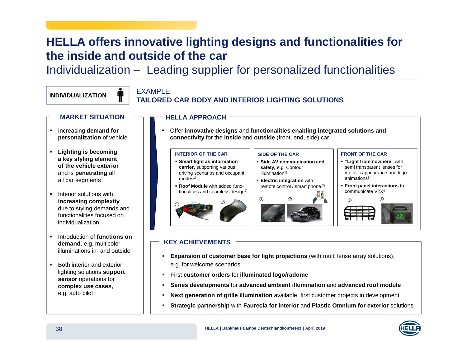# **HELLA offers innovative lighting designs and functionalities for the inside and outside of the car**

Individualization – Leading supplier for personalized functionalities

#### **INDIVIDUALIZATION**

# EXAMPLE: **TAILORED CAR BODY AND INTERIOR LIGHTING SOLUTIONS**

- **MARKET SITUATION**
- **EXEC** Increasing **demand for personalization** of vehicle
- **Lighting is becoming a key styling element of the vehicle exterior** and is **penetrating** all all car segments
- **Interior solutions with increasing complexity** due to styling demands and functionalities focused on individualization
- **EXECUTE:** Introduction of **functions** on **demand**, e.g. multicolor illuminations in- and outside
- **Both interior and exterior** lighting solutions **support sensor** operations for **complex use cases,** e.g. auto pilot

П Offer **innovative designs** and **functionalities enabling integrated solutions and connectivity** for the **inside** and **outside** (front, end, side) car



### **KEY ACHIEVEMENTS**

**HELLA APPROACH**

- **Expansion of customer base for light projections** (with multi lense array solutions), e.g. for welcome scenarios
- First **customer orders** for **illuminated logo/radome**
- П **Series developments** for **advanced ambient illumination** and **advanced roof module**
- П **Next generation of grille illumination** available, first customer projects in development
- П **Strategic partnership** with **Faurecia for interior** and **Plastic Omnium for exterior** solutions